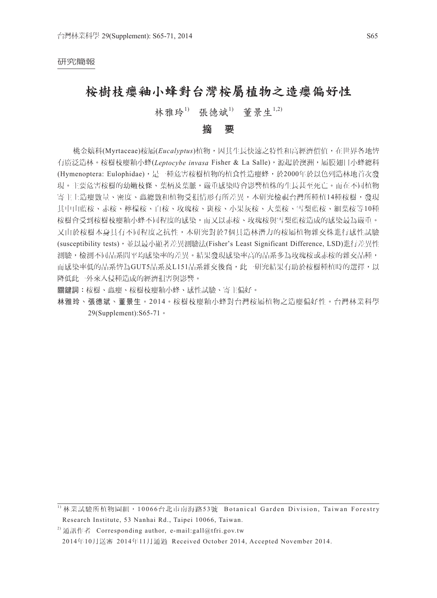#### 研究簡報

## 桉樹枝癭釉小蜂對台灣桉屬植物之造癭偏好性

## 林雅玲<sup>1)</sup> 張德斌<sup>1)</sup> 董景生<sup>1,2)</sup>

#### 摘 要

桃金孃科(Myrtaceae)桉屬(*Eucalyptus*)植物,因其生長快速之特性和高經濟價值,在世界各地皆 有廣泛造林。桉樹枝癭釉小蜂(*Leptocybe invasa* Fisher & La Salle),源起於澳洲,屬膜翅目小蜂總科 (Hymenoptera: Eulophidae),是一種危害桉樹植物的植食性造癭蜂,於2000年於以色列造林地首次發 現。主要危害桉樹的幼嫩枝條、葉柄及葉脈,嚴重感染時會影響植株的生長甚至死亡。而在不同植物 寄主上造癭數量、密度、蟲總數和植物受損情形有所差異,本研究檢視台灣所種植14種桉樹,發現 其中山藍桉、赤桉、檸檬桉、白桉、玫瑰桉、斑桉、小果灰桉、大葉桉、雪梨藍桉、細葉桉等10種 桉樹會受到桉樹枝癭釉小蜂不同程度的感染,而又以赤桉、玫瑰桉與雪梨藍桉造成的感染最為嚴重。 又由於桉樹本身具有不同程度之抗性,本研究對於7個具造林潛力的桉屬植物雜交株進行感性試驗 (susceptibility tests),並以最小顯著差異測驗法(Fisher's Least Significant Difference, LSD)進行差異性 測驗,檢測不同品系間平均感染率的差異。結果發現感染率高的品系多為玫瑰桉或赤桉的雜交品種, 而感染率低的品系皆為GUT5品系及L151品系雜交後裔,此一研究結果有助於桉樹種植時的選擇,以 降低此一外來入侵種造成的經濟損害與影響。

關鍵詞:桉樹、蟲癭、桉樹枝癭釉小蜂、感性試驗、寄主偏好。

林雅玲、張德斌、董景生。2014。桉樹枝癭釉小蜂對台灣桉屬植物之造癭偏好性。台灣林業科學 29(Supplement):S65-71。

<sup>1</sup> 林業試驗所植物園組, 10066台北市南海路53號 Botanical Garden Division, Taiwan Forestry Research Institute, 53 Nanhai Rd., Taipei 10066, Taiwan.

<sup>&</sup>lt;sup>2)</sup> 通訊作者 Corresponding author, e-mail:gall@tfri.gov.tw 2014年10月送審 2014年11月通過 Received October 2014, Accepted November 2014.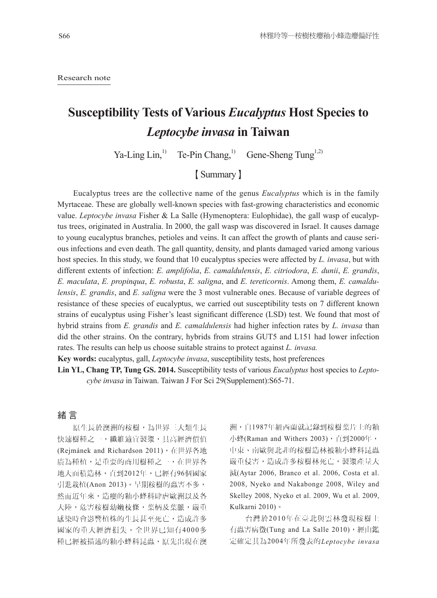Research note

# **Susceptibility Tests of Various** *Eucalyptus* **Host Species to**  *Leptocybe invasa* **in Taiwan**

Ya-Ling Lin,<sup>1)</sup> Te-Pin Chang,<sup>1)</sup> Gene-Sheng Tung<sup>1,2)</sup>

### 【Summary】

Eucalyptus trees are the collective name of the genus *Eucalyptus* which is in the family Myrtaceae. These are globally well-known species with fast-growing characteristics and economic value. *Leptocybe invasa* Fisher & La Salle (Hymenoptera: Eulophidae), the gall wasp of eucalyptus trees, originated in Australia. In 2000, the gall wasp was discovered in Israel. It causes damage to young eucalyptus branches, petioles and veins. It can affect the growth of plants and cause serious infections and even death. The gall quantity, density, and plants damaged varied among various host species. In this study, we found that 10 eucalyptus species were affected by *L. invasa*, but with different extents of infection: *E. amplifolia*, *E. camaldulensis*, *E. citriodora*, *E. dunii*, *E. grandis*, *E. maculata*, *E. propinqua*, *E. robusta*, *E. saligna*, and *E. tereticornis*. Among them, *E. camaldulensis*, *E. grandis*, and *E. saligna* were the 3 most vulnerable ones. Because of variable degrees of resistance of these species of eucalyptus, we carried out susceptibility tests on 7 different known strains of eucalyptus using Fisher's least significant difference (LSD) test. We found that most of hybrid strains from *E. grandis* and *E. camaldulensis* had higher infection rates by *L. invasa* than did the other strains. On the contrary, hybrids from strains GUT5 and L151 had lower infection rates. The results can help us choose suitable strains to protect against *L. invasa.*

**Key words:** eucalyptus, gall, *Leptocybe invasa*, susceptibility tests, host preferences

**Lin YL, Chang TP, Tung GS. 2014.** Susceptibility tests of various *Eucalyptus* host species to *Leptocybe invasa* in Taiwan. Taiwan J For Sci 29(Supplement):S65-71.

#### 緒 言

原生長於澳洲的桉樹,為世界三大類生長 快速樹種之一,纖維適宜製漿,具高經濟價值 (Rejmánek and Richardson 2011), 在世界各地 廣為種植,是重要的商用樹種之一,在世界各 地大面積造林,直到2012年,已經有96個國家 引進栽植(Anon 2013)。早期桉樹的蟲害不多, 然而近年來,造癭的釉小蜂科肆虐歐洲以及各 大陸,危害桉樹幼嫩枝條,葉柄及葉脈,嚴重 感染時會影響植株的生長甚至死亡,造成許多 國家的重大經濟損失。全世界已知有4000多 種已經被描述的釉小蜂科昆蟲,原先出現在澳

洲,自1987年紐西蘭就記錄到桉樹葉片上的釉 小蜂(Raman and Withers 2003), 直到2000年, 中東、南歐與北非的桉樹造林被釉小蜂科昆蟲 嚴重侵害,造成許多桉樹林死亡,製漿產量大 減(Aytar 2006, Branco et al. 2006, Costa et al. 2008, Nyeko and Nakabonge 2008, Wiley and Skelley 2008, Nyeko et al. 2009, Wu et al. 2009, Kulkarni 2010)。

台灣於2 0 1 0年在臺北與雲林發現桉樹上 有蟲害病徵(Tung and La Salle 2010), 經由鑑 定確定其為2004年所發表的*Leptocybe invasa*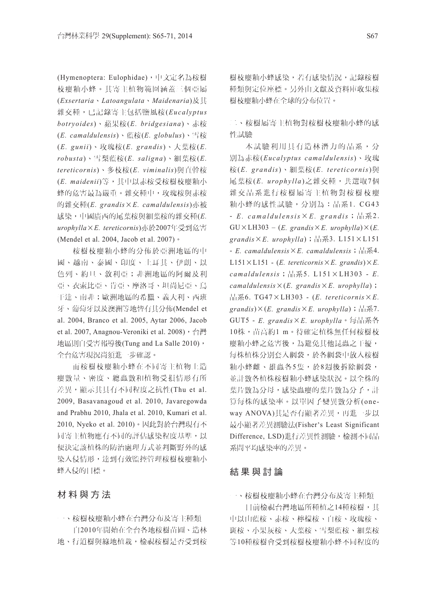(Hymenoptera: Eulophidae),中文定名為桉樹 枝癭釉小蜂。其寄主植物範圍涵蓋三個亞屬 (*Exsertaria*、*Latoangulata*、*Maidenaria*)及其 雜交種,已記錄寄主包括鹽風桉(*Eucalyptus botryoides*)、蘋果桉(*E. bridgesiana*)、赤桉 (*E. camaldulensis*)、藍桉(*E. globulus*)、雪桉 (*E. gunii*)、玫瑰桉(*E. grandis*)、大葉桉(*E. robusta*)、雪梨藍桉(*E. saligna*)、細葉桉(*E. tereticornis*)、多枝桉(*E. viminalis*)與直幹桉 (*E. maidenii*)等,其中以赤桉受桉樹枝癭釉小 蜂的危害最為嚴重。雜交種中,玫瑰桉與赤桉 的雜交種(*E. grandis*×*E. camaldulensis*)亦被 感染,中國廣西的尾葉桉與細葉桉的雜交種(*E. urophylla*×*E. tereticornis*)亦於2007年受到危害 (Mendel et al. 2004, Jacob et al. 2007)。

桉樹枝癭釉小蜂的分佈於亞洲地區的中 國、越南、泰國、印度、土耳其、伊朗、以 色列、約旦、敘利亞;非洲地區的阿爾及利 亞、衣索比亞、肯亞、摩洛哥、坦尚尼亞、烏 干達、南非;歐洲地區的希臘、義大利、西班 牙、葡萄牙以及澳洲等地皆有其分佈(Mendel et al. 2004, Branco et al. 2005, Aytar 2006, Jacob et al. 2007, Anagnou-Veroniki et al. 2008), 台灣 地區則自受害報導後(Tung and La Salle 2010), 全台危害現況尚須進一步確認。

而桉樹枝癭釉小蜂在不同寄主植物上造 癭數量、密度、總蟲數和植物受損情形有所 差異,顯示其具有不同程度之抗性(Thu et al. 2009, Basavanagoud et al. 2010, Javaregowda and Prabhu 2010, Jhala et al. 2010, Kumari et al. 2010, Nyeko et al. 2010)。因此對於台灣現有不 同寄主植物應有不同的評估感染程度基準,以 便決定該植株的防治處理方式並判斷野外的感 染入侵情形,達到有效監控管理桉樹枝癭釉小 蜂入侵的目標。

材料與方法

一、桉樹枝癭釉小蜂在台灣分布及寄主種類 自2010年開始在全台各地桉樹苗圃、造林 地、行道樹與綠地植栽,檢視桉樹是否受到桉

樹枝癭釉小蜂感染,若有感染情況,記錄桉樹 種類與定位座標。另外由文獻及資料庫收集桉 樹枝癭釉小蜂在全球的分布位置。

二、桉樹屬寄主植物對桉樹枝癭釉小蜂的感 性試驗

本試驗利用具有造林潛力的品系,分 別為赤桉(*Eucalyptus camaldulensis*)、玫瑰 桉(*E. grandis*)、細葉桉(*E. tereticornis*)與 尾葉桉(*E. urophylla* )之雜交種,共選取7個 雜交品系進行桉樹屬寄主植物對桉樹枝癭 釉小蜂的感性試驗,分別為:品系1. CG43 -  $E.$   $camaldulensis \times E.$   $grandis$ ; 品系2.  $GU \times LH303 - (E. *grandis* × E. *urophylla*) × (E.$ *grandis*×*E. urophylla*);品系3. L151×L151 - *E. camaldulensis*×*E. camaldulensis*;品系4.  $L151 \times L151$  - (*E. tereticornis*  $\times$  *E. grandis*) $\times$  *E. camaldulensis*;品系5. L151×LH303 - *E. camaldulensis*×(*E. grandis*×*E. urophylla*); 品系6. TG47×LH303 - (*E. tereticornis*×*E. grandis*)×(*E. grandis*×*E. urophylla*);品系7. GUT5 - *E. grandis*×*E. urophylla*。每品系各 10株,苗高約1 m。待確定植株無任何桉樹枝 癭釉小蜂之危害後,為避免其他昆蟲之干擾, 每株植株分別套入網袋,於各網袋中放入桉樹 釉小蜂雌、雄蟲各5隻,於8週後拆除網袋, 並計數各植株桉樹釉小蜂感染狀況。以全株的 葉片數為分母,感染蟲癭的葉片數為分子,計 算每株的感染率。以單因子變異數分析(one way ANOVA)其是否有顯著差異,再進一步以 最小顯著差異測驗法(Fisher's Least Significant Difference, LSD)進行差異性測驗,檢測不同品 系間平均感染率的差異。

#### 結果與討論

一、桉樹枝癭釉小蜂在台灣分布及寄主種類

目前檢視台灣地區所種植之14種桉樹,其 中以山藍桉、赤桉、檸檬桉、白桉、玫瑰桉、 斑桉、小果灰桉、大葉桉、雪梨藍桉、細葉桉 等10種桉樹會受到桉樹枝癭釉小蜂不同程度的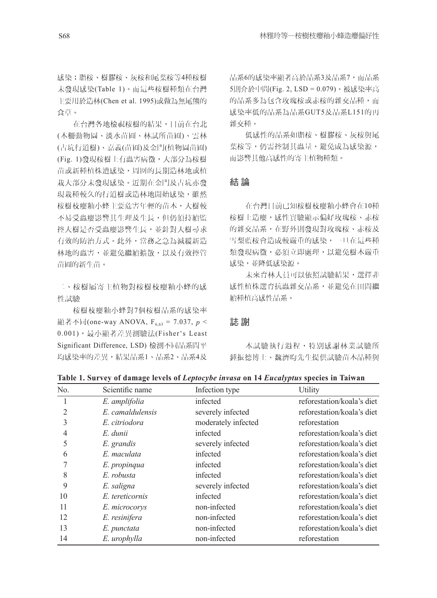感染;脂桉、樹膠桉、灰桉和尾葉桉等4種桉樹 未發現感染(Table 1)。而這些桉樹種類在台灣 主要用於造林(Chen et al. 1995)或做為無尾熊的 食草。

在台灣各地檢視桉樹的結果,目前在台北 (木柵動物園、淡水苗圃、林試所苗圃)、雲林 (古坑行道樹)、嘉義(苗圃)及金門(植物園苗圃) (Fig. 1)發現桉樹上有蟲害病徵,大部分為桉樹 苗或新種植株遭感染,周圍的長期造林地或植 栽大部分未發現感染。近期在金門及古坑亦發 現栽種較久的行道樹或造林地開始感染,雖然 桉樹枝癭釉小蜂主要危害年輕的苗木,大樹較 不易受蟲癭影響其生理及生長,但仍須持續監 控大樹是否受蟲癭影響生長,並針對大樹尋求 有效的防治方式。此外,當務之急為減緩新造 林地的蟲害,並避免繼續擴散,以及有效控管 苗圃的新生苗。

二、桉樹屬寄主植物對桉樹枝癭釉小蜂的感 性試驗

桉樹枝癭釉小蜂對7個桉樹品系的感染率 顯著不同(one-way ANOVA, F<sub>6.63</sub> = 7.037, *p* < 0.001),最小顯著差異測驗法(Fisher's Least Significant Difference, LSD) 檢測不同品系間平 均感染率的差異,結果品系1、品系2、品系4及 品系6的感染率顯著高於品系3及品系7,而品系 5則介於中間(Fig. 2, LSD = 0.079)。被感染率高 的品系多為包含玫瑰桉或赤桉的雜交品種,而 感染率低的品系為品系GUT5及品系L151的再 雜交種。

低感性的品系如脂桉、樹膠桉、灰桉與尾 葉桉等,仍需控制其蟲量,避免成為感染源, 而影響其他高感性的寄主植物種類。

#### 結 論

在台灣目前已知桉樹枝癭釉小蜂會在10種 桉樹上造癭,感性實驗顯示偏好玫瑰桉、赤桉 的雜交品系,在野外則發現對玫瑰桉、赤桉及 雪梨藍桉會造成較嚴重的感染,一旦在這些種 類發現病徵,必須立即處理,以避免樹木嚴重 感染,並降低感染源。

未來育林人員可以依照試驗結果,選擇非 感性植株選育抗蟲雜交品系,並避免在田間繼 續種植高感性品系。

#### 誌 謝

本試驗執行過程,特別感謝林業試驗所 鍾振德博士、魏濟昀先生提供試驗苗木品種與

| No. | Scientific name  | Infection type      | Utility                    |
|-----|------------------|---------------------|----------------------------|
|     | E. amplifolia    | infected            | reforestation/koala's diet |
| 2   | E. camaldulensis | severely infected   | reforestation/koala's diet |
|     | E. citriodora    | moderately infected | reforestation              |
| 4   | E. dunii         | infected            | reforestation/koala's diet |
| 5   | E. grandis       | severely infected   | reforestation/koala's diet |
| 6   | E. maculata      | infected            | reforestation/koala's diet |
|     | E. propinqua     | infected            | reforestation/koala's diet |
| 8   | E. robusta       | infected            | reforestation/koala's diet |
| 9   | E. saligna       | severely infected   | reforestation/koala's diet |
| 10  | E. tereticornis  | infected            | reforestation/koala's diet |
| 11  | E. microcorys    | non-infected        | reforestation/koala's diet |
| 12  | E. resinifera    | non-infected        | reforestation/koala's diet |
| 13  | E. punctata      | non-infected        | reforestation/koala's diet |
| 14  | E. urophylla     | non-infected        | reforestation              |

**Table 1. Survey of damage levels of** *Leptocybe invasa* **on 14** *Eucalyptus* **species in Taiwan**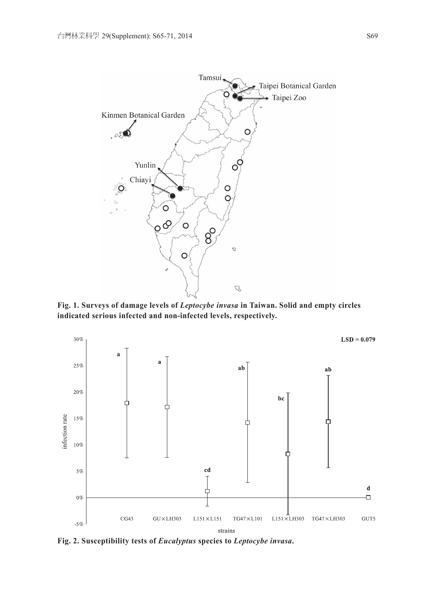

**Fig. 1. Surveys of damage levels of** *Leptocybe invasa* **in Taiwan. Solid and empty circles indicated serious infected and non-infected levels, respectively.**



**Fig. 2. Susceptibility tests of** *Eucalyptus* **species to** *Leptocybe invasa***.**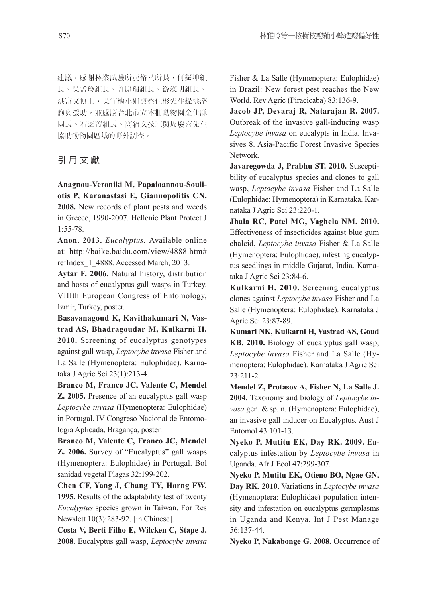建議,感謝林業試驗所黃裕星所長、何振坤組 長、吳孟玲組長、許原瑞組長、游漢明組長、 洪富文博士、吳宜穗小姐與蔡佳彬先生提供諮 詢與援助,並感謝台北市立木柵動物園金仕謙 園長、石芝菁組長、高紹文技正與周慶喜先生 協助動物園區域的野外調查。

#### 引用文獻

**Anagnou-Veroniki M, Papaioannou-Souliotis P, Karanastasi E, Giannopolitis CN. 2008.** New records of plant pests and weeds in Greece, 1990-2007. Hellenic Plant Protect J 1:55-78.

**Anon. 2013.** *Eucalyptus.* Available online at: http://baike.baidu.com/view/4888.htm# refIndex\_1\_4888. Accessed March, 2013.

**Aytar F. 2006.** Natural history, distribution and hosts of eucalyptus gall wasps in Turkey. VIIIth European Congress of Entomology, Izmir, Turkey, poster.

**Basavanagoud K, Kavithakumari N, Vastrad AS, Bhadragoudar M, Kulkarni H. 2010.** Screening of eucalyptus genotypes against gall wasp, *Leptocybe invasa* Fisher and La Salle (Hymenoptera: Eulophidae). Karnataka J Agric Sci 23(1):213-4.

**Branco M, Franco JC, Valente C, Mendel Z. 2005.** Presence of an eucalyptus gall wasp *Leptocybe invasa* (Hymenoptera: Eulophidae) in Portugal. IV Congreso Nacional de Entomologia Aplicada, Bragança, poster.

**Branco M, Valente C, Franco JC, Mendel Z. 2006.** Survey of "Eucalyptus" gall wasps (Hymenoptera: Eulophidae) in Portugal. Bol sanidad vegetal Plagas 32:199-202.

**Chen CF, Yang J, Chang TY, Horng FW. 1995.** Results of the adaptability test of twenty *Eucalyptus* species grown in Taiwan. For Res Newslett 10(3):283-92. [in Chinese].

**Costa V, Berti Filho E, Wilcken C, Stape J. 2008.** Eucalyptus gall wasp, *Leptocybe invasa*  Fisher & La Salle (Hymenoptera: Eulophidae) in Brazil: New forest pest reaches the New World. Rev Agric (Piracicaba) 83:136-9.

**Jacob JP, Devaraj R, Natarajan R. 2007.**  Outbreak of the invasive gall-inducing wasp *Leptocybe invasa* on eucalypts in India. Invasives 8. Asia-Pacific Forest Invasive Species Network.

**Javaregowda J, Prabhu ST. 2010.** Susceptibility of eucalyptus species and clones to gall wasp, *Leptocybe invasa* Fisher and La Salle (Eulophidae: Hymenoptera) in Karnataka. Karnataka J Agric Sci 23:220-1.

**Jhala RC, Patel MG, Vaghela NM. 2010.**  Effectiveness of insecticides against blue gum chalcid, *Leptocybe invasa* Fisher & La Salle (Hymenoptera: Eulophidae), infesting eucalyptus seedlings in middle Gujarat, India. Karnataka J Agric Sci 23:84-6.

**Kulkarni H. 2010.** Screening eucalyptus clones against *Leptocybe invasa* Fisher and La Salle (Hymenoptera: Eulophidae). Karnataka J Agric Sci 23:87-89.

**Kumari NK, Kulkarni H, Vastrad AS, Goud KB. 2010.** Biology of eucalyptus gall wasp, *Leptocybe invasa* Fisher and La Salle (Hymenoptera: Eulophidae). Karnataka J Agric Sci 23:211-2.

**Mendel Z, Protasov A, Fisher N, La Salle J. 2004.** Taxonomy and biology of *Leptocybe invasa* gen. & sp. n. (Hymenoptera: Eulophidae), an invasive gall inducer on Eucalyptus. Aust J Entomol 43:101-13.

**Nyeko P, Mutitu EK, Day RK. 2009.** Eucalyptus infestation by *Leptocybe invasa* in Uganda. Afr J Ecol 47:299-307.

**Nyeko P, Mutitu EK, Otieno BO, Ngae GN, Day RK. 2010.** Variations in *Leptocybe invasa* (Hymenoptera: Eulophidae) population intensity and infestation on eucalyptus germplasms in Uganda and Kenya. Int J Pest Manage 56:137-44.

**Nyeko P, Nakabonge G. 2008.** Occurrence of